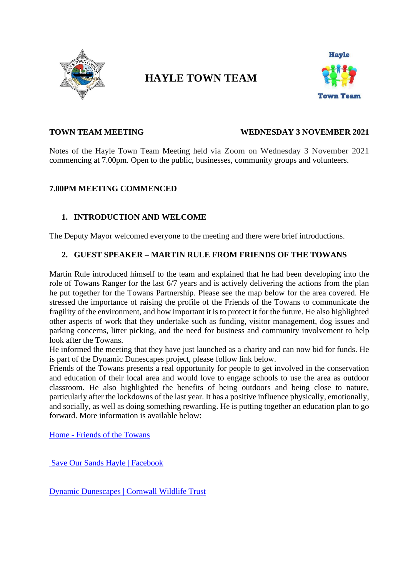

# **HAYLE TOWN TEAM**



#### **TOWN TEAM MEETING WEDNESDAY 3 NOVEMBER 2021**

Notes of the Hayle Town Team Meeting held via Zoom on Wednesday 3 November 2021 commencing at 7.00pm. Open to the public, businesses, community groups and volunteers.

#### **7.00PM MEETING COMMENCED**

### **1. INTRODUCTION AND WELCOME**

The Deputy Mayor welcomed everyone to the meeting and there were brief introductions.

#### **2. GUEST SPEAKER – MARTIN RULE FROM FRIENDS OF THE TOWANS**

Martin Rule introduced himself to the team and explained that he had been developing into the role of Towans Ranger for the last 6/7 years and is actively delivering the actions from the plan he put together for the Towans Partnership. Please see the map below for the area covered. He stressed the importance of raising the profile of the Friends of the Towans to communicate the fragility of the environment, and how important it is to protect it for the future. He also highlighted other aspects of work that they undertake such as funding, visitor management, dog issues and parking concerns, litter picking, and the need for business and community involvement to help look after the Towans.

He informed the meeting that they have just launched as a charity and can now bid for funds. He is part of the Dynamic Dunescapes project, please follow link below.

Friends of the Towans presents a real opportunity for people to get involved in the conservation and education of their local area and would love to engage schools to use the area as outdoor classroom. He also highlighted the benefits of being outdoors and being close to nature, particularly after the lockdowns of the last year. It has a positive influence physically, emotionally, and socially, as well as doing something rewarding. He is putting together an education plan to go forward. More information is available below:

Home - [Friends of the Towans](https://friendsofthetowans.co.uk/)

[Save Our Sands Hayle | Facebook](https://www.facebook.com/Save-Our-Sands-Hayle-130860600311648/)

[Dynamic Dunescapes | Cornwall Wildlife Trust](https://www.cornwallwildlifetrust.org.uk/dynamicdunescapes)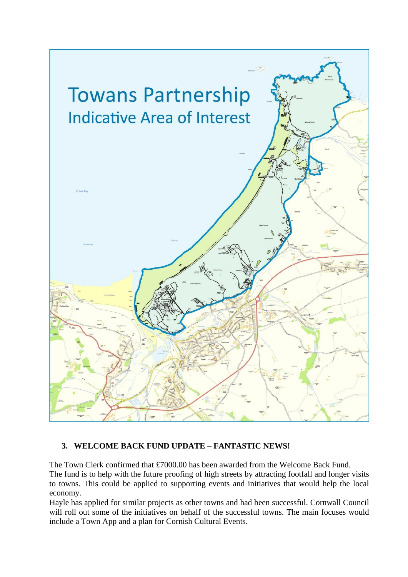

## **3. WELCOME BACK FUND UPDATE – FANTASTIC NEWS!**

The Town Clerk confirmed that £7000.00 has been awarded from the Welcome Back Fund. The fund is to help with the future proofing of high streets by attracting footfall and longer visits to towns. This could be applied to supporting events and initiatives that would help the local economy.

Hayle has applied for similar projects as other towns and had been successful. Cornwall Council will roll out some of the initiatives on behalf of the successful towns. The main focuses would include a Town App and a plan for Cornish Cultural Events.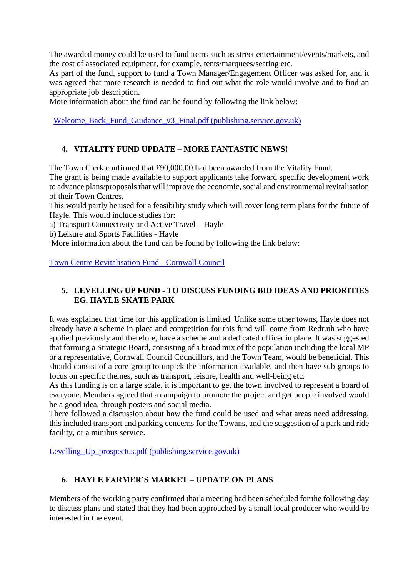The awarded money could be used to fund items such as street entertainment/events/markets, and the cost of associated equipment, for example, tents/marquees/seating etc.

As part of the fund, support to fund a Town Manager/Engagement Officer was asked for, and it was agreed that more research is needed to find out what the role would involve and to find an appropriate job description.

More information about the fund can be found by following the link below:

Welcome Back Fund Guidance v3 Final.pdf (publishing.service.gov.uk)

## **4. VITALITY FUND UPDATE – MORE FANTASTIC NEWS!**

The Town Clerk confirmed that £90,000.00 had been awarded from the Vitality Fund. The grant is being made available to support applicants take forward specific development work to advance plans/proposals that will improve the economic, social and environmental revitalisation of their Town Centres.

This would partly be used for a feasibility study which will cover long term plans for the future of Hayle. This would include studies for:

a) Transport Connectivity and Active Travel – Hayle

b) Leisure and Sports Facilities - Hayle

More information about the fund can be found by following the link below:

[Town Centre Revitalisation Fund -](https://www.cornwall.gov.uk/business-trading-and-licences/economic-development/town-centre-revitalisation-fund/) Cornwall Council

## **5. LEVELLING UP FUND - TO DISCUSS FUNDING BID IDEAS AND PRIORITIES EG. HAYLE SKATE PARK**

It was explained that time for this application is limited. Unlike some other towns, Hayle does not already have a scheme in place and competition for this fund will come from Redruth who have applied previously and therefore, have a scheme and a dedicated officer in place. It was suggested that forming a Strategic Board, consisting of a broad mix of the population including the local MP or a representative, Cornwall Council Councillors, and the Town Team, would be beneficial. This should consist of a core group to unpick the information available, and then have sub-groups to focus on specific themes, such as transport, leisure, health and well-being etc.

As this funding is on a large scale, it is important to get the town involved to represent a board of everyone. Members agreed that a campaign to promote the project and get people involved would be a good idea, through posters and social media.

There followed a discussion about how the fund could be used and what areas need addressing, this included transport and parking concerns for the Towans, and the suggestion of a park and ride facility, or a minibus service.

[Levelling\\_Up\\_prospectus.pdf \(publishing.service.gov.uk\)](https://assets.publishing.service.gov.uk/government/uploads/system/uploads/attachment_data/file/966138/Levelling_Up_prospectus.pdf)

## **6. HAYLE FARMER'S MARKET – UPDATE ON PLANS**

Members of the working party confirmed that a meeting had been scheduled for the following day to discuss plans and stated that they had been approached by a small local producer who would be interested in the event.